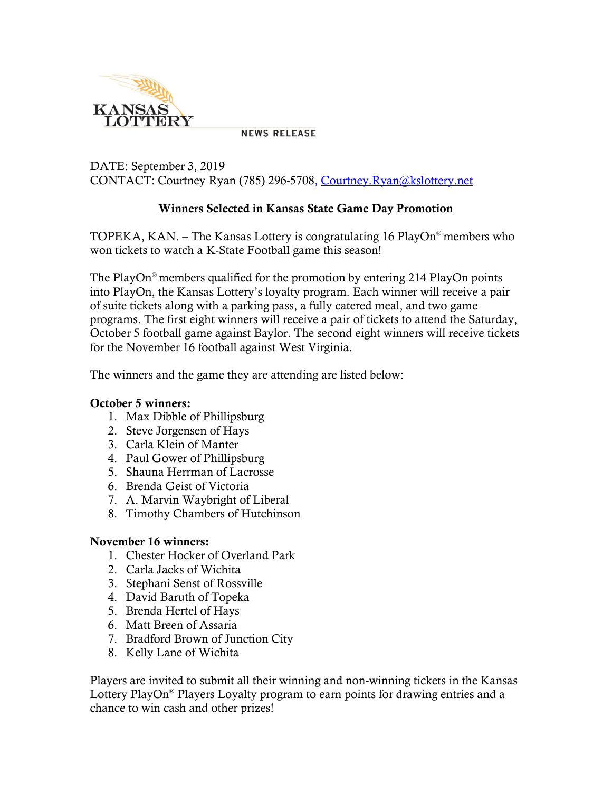

**NEWS RELEASE** 

## DATE: September 3, 2019 CONTACT: Courtney Ryan (785) 296-5708, [Courtney.Ryan@kslottery.net](mailto:Courtney.Ryan@kslottery.net)

## **Winners Selected in Kansas State Game Day Promotion**

TOPEKA, KAN. – The Kansas Lottery is congratulating 16 PlayOn® members who won tickets to watch a K-State Football game this season!

The PlayOn® members qualified for the promotion by entering 214 PlayOn points into PlayOn, the Kansas Lottery's loyalty program. Each winner will receive a pair of suite tickets along with a parking pass, a fully catered meal, and two game programs. The first eight winners will receive a pair of tickets to attend the Saturday, October 5 football game against Baylor. The second eight winners will receive tickets for the November 16 football against West Virginia.

The winners and the game they are attending are listed below:

## **October 5 winners:**

- 1. Max Dibble of Phillipsburg
- 2. Steve Jorgensen of Hays
- 3. Carla Klein of Manter
- 4. Paul Gower of Phillipsburg
- 5. Shauna Herrman of Lacrosse
- 6. Brenda Geist of Victoria
- 7. A. Marvin Waybright of Liberal
- 8. Timothy Chambers of Hutchinson

## **November 16 winners:**

- 1. Chester Hocker of Overland Park
- 2. Carla Jacks of Wichita
- 3. Stephani Senst of Rossville
- 4. David Baruth of Topeka
- 5. Brenda Hertel of Hays
- 6. Matt Breen of Assaria
- 7. Bradford Brown of Junction City
- 8. Kelly Lane of Wichita

Players are invited to submit all their winning and non-winning tickets in the Kansas Lottery PlayOn<sup>®</sup> Players Loyalty program to earn points for drawing entries and a chance to win cash and other prizes!